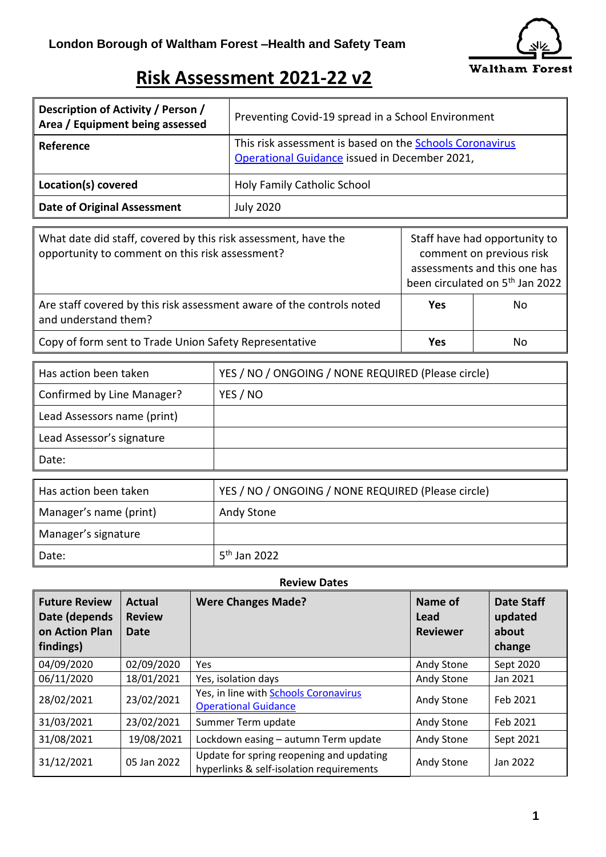

## **Risk Assessment 2021-22 v2**

| Description of Activity / Person /<br>Area / Equipment being assessed | Preventing Covid-19 spread in a School Environment                                                        |
|-----------------------------------------------------------------------|-----------------------------------------------------------------------------------------------------------|
| Reference                                                             | This risk assessment is based on the Schools Coronavirus<br>Operational Guidance issued in December 2021, |
| Location(s) covered                                                   | Holy Family Catholic School                                                                               |
| <b>Date of Original Assessment</b>                                    | <b>July 2020</b>                                                                                          |

| What date did staff, covered by this risk assessment, have the<br>opportunity to comment on this risk assessment? |            | Staff have had opportunity to<br>comment on previous risk<br>assessments and this one has<br>been circulated on 5 <sup>th</sup> Jan 2022 |
|-------------------------------------------------------------------------------------------------------------------|------------|------------------------------------------------------------------------------------------------------------------------------------------|
| Are staff covered by this risk assessment aware of the controls noted<br>and understand them?                     | <b>Yes</b> | No                                                                                                                                       |
| Copy of form sent to Trade Union Safety Representative                                                            | <b>Yes</b> | No                                                                                                                                       |

| Has action been taken       | YES / NO / ONGOING / NONE REQUIRED (Please circle) |
|-----------------------------|----------------------------------------------------|
| Confirmed by Line Manager?  | YES / NO                                           |
| Lead Assessors name (print) |                                                    |
| Lead Assessor's signature   |                                                    |
| Date:                       |                                                    |
|                             |                                                    |
| Has action been taken       | YES / NO / ONGOING / NONE REQUIRED (Please circle) |
| Manager's name (print)      | Andy Stone                                         |
| Manager's signature         |                                                    |

 $5<sup>th</sup>$  Jan 2022

Date:

|                                                                      | <b>Review Dates</b>                    |                                                                                      |                                    |                                                 |  |
|----------------------------------------------------------------------|----------------------------------------|--------------------------------------------------------------------------------------|------------------------------------|-------------------------------------------------|--|
| <b>Future Review</b><br>Date (depends<br>on Action Plan<br>findings) | <b>Actual</b><br><b>Review</b><br>Date | <b>Were Changes Made?</b>                                                            | Name of<br>Lead<br><b>Reviewer</b> | <b>Date Staff</b><br>updated<br>about<br>change |  |
| 04/09/2020                                                           | 02/09/2020                             | <b>Yes</b>                                                                           | Andy Stone                         | Sept 2020                                       |  |
| 06/11/2020                                                           | 18/01/2021                             | Yes, isolation days                                                                  | Andy Stone                         | Jan 2021                                        |  |
| 28/02/2021                                                           | 23/02/2021                             | Yes, in line with <b>Schools Coronavirus</b><br><b>Operational Guidance</b>          | Andy Stone                         | Feb 2021                                        |  |
| 31/03/2021                                                           | 23/02/2021                             | Summer Term update                                                                   | Andy Stone                         | Feb 2021                                        |  |
| 31/08/2021                                                           | 19/08/2021                             | Lockdown easing - autumn Term update                                                 | Andy Stone                         | Sept 2021                                       |  |
| 31/12/2021                                                           | 05 Jan 2022                            | Update for spring reopening and updating<br>hyperlinks & self-isolation requirements | Andy Stone                         | Jan 2022                                        |  |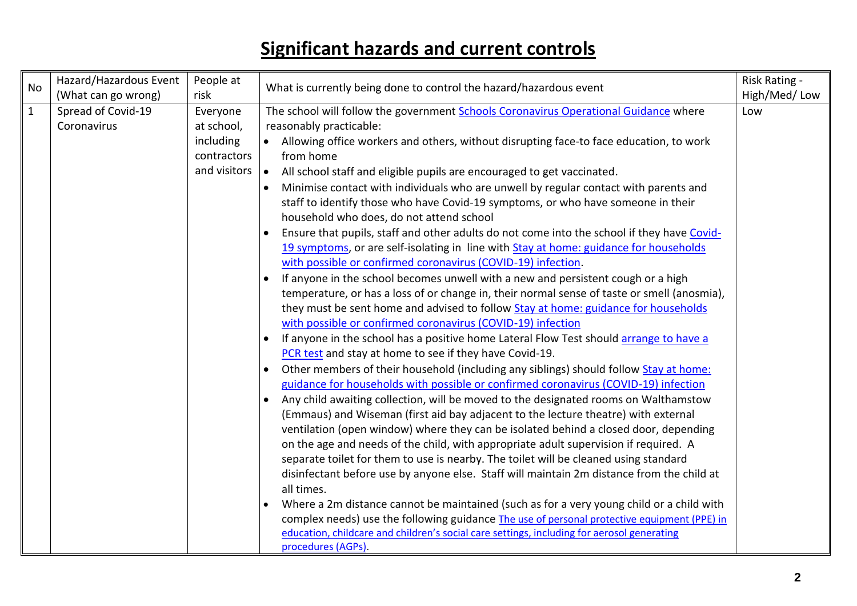## **Significant hazards and current controls**

| <b>No</b>    | Hazard/Hazardous Event | People at                          | What is currently being done to control the hazard/hazardous event                                  | Risk Rating - |
|--------------|------------------------|------------------------------------|-----------------------------------------------------------------------------------------------------|---------------|
|              | (What can go wrong)    | risk                               |                                                                                                     | High/Med/Low  |
| $\mathbf{1}$ | Spread of Covid-19     | Everyone                           | The school will follow the government Schools Coronavirus Operational Guidance where                | Low           |
|              | Coronavirus            | at school,                         | reasonably practicable:                                                                             |               |
|              |                        | including                          | Allowing office workers and others, without disrupting face-to face education, to work              |               |
|              |                        | contractors                        | from home                                                                                           |               |
|              |                        | and visitors $\vert \bullet \vert$ | All school staff and eligible pupils are encouraged to get vaccinated.                              |               |
|              |                        |                                    | Minimise contact with individuals who are unwell by regular contact with parents and                |               |
|              |                        |                                    | staff to identify those who have Covid-19 symptoms, or who have someone in their                    |               |
|              |                        |                                    | household who does, do not attend school                                                            |               |
|              |                        |                                    | Ensure that pupils, staff and other adults do not come into the school if they have Covid-          |               |
|              |                        |                                    | 19 symptoms, or are self-isolating in line with Stay at home: guidance for households               |               |
|              |                        |                                    | with possible or confirmed coronavirus (COVID-19) infection.                                        |               |
|              |                        |                                    | If anyone in the school becomes unwell with a new and persistent cough or a high                    |               |
|              |                        |                                    | temperature, or has a loss of or change in, their normal sense of taste or smell (anosmia),         |               |
|              |                        |                                    | they must be sent home and advised to follow Stay at home: guidance for households                  |               |
|              |                        |                                    | with possible or confirmed coronavirus (COVID-19) infection                                         |               |
|              |                        |                                    | If anyone in the school has a positive home Lateral Flow Test should arrange to have a<br>$\bullet$ |               |
|              |                        |                                    | PCR test and stay at home to see if they have Covid-19.                                             |               |
|              |                        |                                    | Other members of their household (including any siblings) should follow Stay at home:<br>$\bullet$  |               |
|              |                        |                                    | guidance for households with possible or confirmed coronavirus (COVID-19) infection                 |               |
|              |                        |                                    | Any child awaiting collection, will be moved to the designated rooms on Walthamstow<br>$\bullet$    |               |
|              |                        |                                    | (Emmaus) and Wiseman (first aid bay adjacent to the lecture theatre) with external                  |               |
|              |                        |                                    | ventilation (open window) where they can be isolated behind a closed door, depending                |               |
|              |                        |                                    | on the age and needs of the child, with appropriate adult supervision if required. A                |               |
|              |                        |                                    | separate toilet for them to use is nearby. The toilet will be cleaned using standard                |               |
|              |                        |                                    | disinfectant before use by anyone else. Staff will maintain 2m distance from the child at           |               |
|              |                        |                                    | all times.                                                                                          |               |
|              |                        |                                    | Where a 2m distance cannot be maintained (such as for a very young child or a child with            |               |
|              |                        |                                    | complex needs) use the following guidance The use of personal protective equipment (PPE) in         |               |
|              |                        |                                    | education, childcare and children's social care settings, including for aerosol generating          |               |
|              |                        |                                    | procedures (AGPs).                                                                                  |               |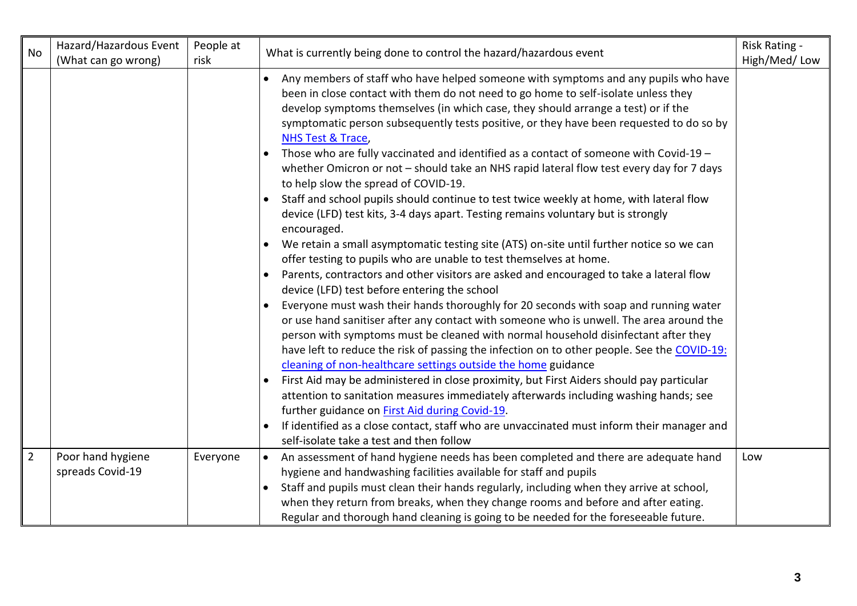| <b>No</b>      | Hazard/Hazardous Event                | People at | What is currently being done to control the hazard/hazardous event                                                                                                                                                                                                                                                                                                                                                                                                                                                                                                                                                                                                                                                                                                                                                                                                                                                                                                                                                                         | Risk Rating - |
|----------------|---------------------------------------|-----------|--------------------------------------------------------------------------------------------------------------------------------------------------------------------------------------------------------------------------------------------------------------------------------------------------------------------------------------------------------------------------------------------------------------------------------------------------------------------------------------------------------------------------------------------------------------------------------------------------------------------------------------------------------------------------------------------------------------------------------------------------------------------------------------------------------------------------------------------------------------------------------------------------------------------------------------------------------------------------------------------------------------------------------------------|---------------|
|                | (What can go wrong)                   | risk      |                                                                                                                                                                                                                                                                                                                                                                                                                                                                                                                                                                                                                                                                                                                                                                                                                                                                                                                                                                                                                                            | High/Med/Low  |
|                |                                       |           | Any members of staff who have helped someone with symptoms and any pupils who have<br>$\bullet$<br>been in close contact with them do not need to go home to self-isolate unless they<br>develop symptoms themselves (in which case, they should arrange a test) or if the<br>symptomatic person subsequently tests positive, or they have been requested to do so by<br>NHS Test & Trace,<br>Those who are fully vaccinated and identified as a contact of someone with Covid-19 -<br>whether Omicron or not - should take an NHS rapid lateral flow test every day for 7 days<br>to help slow the spread of COVID-19.<br>Staff and school pupils should continue to test twice weekly at home, with lateral flow                                                                                                                                                                                                                                                                                                                         |               |
|                |                                       |           | device (LFD) test kits, 3-4 days apart. Testing remains voluntary but is strongly<br>encouraged.<br>We retain a small asymptomatic testing site (ATS) on-site until further notice so we can<br>offer testing to pupils who are unable to test themselves at home.<br>Parents, contractors and other visitors are asked and encouraged to take a lateral flow<br>device (LFD) test before entering the school<br>Everyone must wash their hands thoroughly for 20 seconds with soap and running water<br>or use hand sanitiser after any contact with someone who is unwell. The area around the<br>person with symptoms must be cleaned with normal household disinfectant after they<br>have left to reduce the risk of passing the infection on to other people. See the COVID-19:<br>cleaning of non-healthcare settings outside the home guidance<br>First Aid may be administered in close proximity, but First Aiders should pay particular<br>attention to sanitation measures immediately afterwards including washing hands; see |               |
|                |                                       |           | further guidance on First Aid during Covid-19.<br>If identified as a close contact, staff who are unvaccinated must inform their manager and<br>$\bullet$<br>self-isolate take a test and then follow                                                                                                                                                                                                                                                                                                                                                                                                                                                                                                                                                                                                                                                                                                                                                                                                                                      |               |
| $\overline{2}$ | Poor hand hygiene<br>spreads Covid-19 | Everyone  | An assessment of hand hygiene needs has been completed and there are adequate hand<br>hygiene and handwashing facilities available for staff and pupils<br>Staff and pupils must clean their hands regularly, including when they arrive at school,<br>when they return from breaks, when they change rooms and before and after eating.<br>Regular and thorough hand cleaning is going to be needed for the foreseeable future.                                                                                                                                                                                                                                                                                                                                                                                                                                                                                                                                                                                                           | Low           |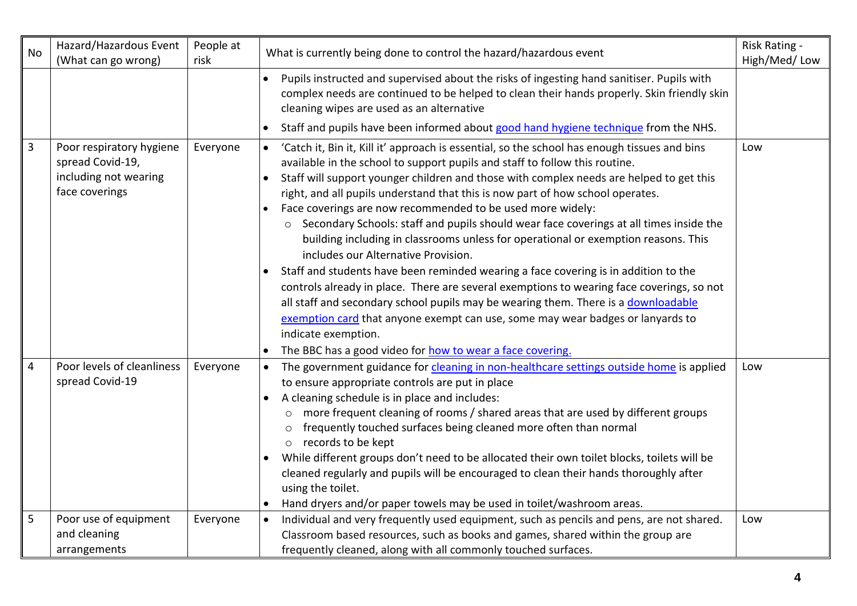| No           | Hazard/Hazardous Event<br>(What can go wrong)                                           | People at<br>risk | What is currently being done to control the hazard/hazardous event                                                                                                                                                                                                                                                                                                                                                                                                                                                                                                                                                                                                                                                                                                                                                                                                                                                                                                                                                                                                                                                                     | Risk Rating -<br>High/Med/Low |
|--------------|-----------------------------------------------------------------------------------------|-------------------|----------------------------------------------------------------------------------------------------------------------------------------------------------------------------------------------------------------------------------------------------------------------------------------------------------------------------------------------------------------------------------------------------------------------------------------------------------------------------------------------------------------------------------------------------------------------------------------------------------------------------------------------------------------------------------------------------------------------------------------------------------------------------------------------------------------------------------------------------------------------------------------------------------------------------------------------------------------------------------------------------------------------------------------------------------------------------------------------------------------------------------------|-------------------------------|
|              |                                                                                         |                   | Pupils instructed and supervised about the risks of ingesting hand sanitiser. Pupils with<br>complex needs are continued to be helped to clean their hands properly. Skin friendly skin<br>cleaning wipes are used as an alternative                                                                                                                                                                                                                                                                                                                                                                                                                                                                                                                                                                                                                                                                                                                                                                                                                                                                                                   |                               |
|              |                                                                                         |                   | Staff and pupils have been informed about good hand hygiene technique from the NHS.<br>$\bullet$                                                                                                                                                                                                                                                                                                                                                                                                                                                                                                                                                                                                                                                                                                                                                                                                                                                                                                                                                                                                                                       |                               |
| $\mathbf{3}$ | Poor respiratory hygiene<br>spread Covid-19,<br>including not wearing<br>face coverings | Everyone          | 'Catch it, Bin it, Kill it' approach is essential, so the school has enough tissues and bins<br>$\bullet$<br>available in the school to support pupils and staff to follow this routine.<br>Staff will support younger children and those with complex needs are helped to get this<br>$\bullet$<br>right, and all pupils understand that this is now part of how school operates.<br>Face coverings are now recommended to be used more widely:<br>o Secondary Schools: staff and pupils should wear face coverings at all times inside the<br>building including in classrooms unless for operational or exemption reasons. This<br>includes our Alternative Provision.<br>Staff and students have been reminded wearing a face covering is in addition to the<br>controls already in place. There are several exemptions to wearing face coverings, so not<br>all staff and secondary school pupils may be wearing them. There is a downloadable<br>exemption card that anyone exempt can use, some may wear badges or lanyards to<br>indicate exemption.<br>The BBC has a good video for how to wear a face covering.<br>$\bullet$ | Low                           |
| 4            | Poor levels of cleanliness<br>spread Covid-19                                           | Everyone          | The government guidance for cleaning in non-healthcare settings outside home is applied<br>to ensure appropriate controls are put in place<br>A cleaning schedule is in place and includes:<br>$\bullet$<br>more frequent cleaning of rooms / shared areas that are used by different groups<br>$\circ$<br>frequently touched surfaces being cleaned more often than normal<br>$\circ$<br>o records to be kept<br>While different groups don't need to be allocated their own toilet blocks, toilets will be<br>cleaned regularly and pupils will be encouraged to clean their hands thoroughly after<br>using the toilet.<br>Hand dryers and/or paper towels may be used in toilet/washroom areas.<br>$\bullet$                                                                                                                                                                                                                                                                                                                                                                                                                       | Low                           |
| 5            | Poor use of equipment<br>and cleaning<br>arrangements                                   | Everyone          | Individual and very frequently used equipment, such as pencils and pens, are not shared.<br>Classroom based resources, such as books and games, shared within the group are<br>frequently cleaned, along with all commonly touched surfaces.                                                                                                                                                                                                                                                                                                                                                                                                                                                                                                                                                                                                                                                                                                                                                                                                                                                                                           | Low                           |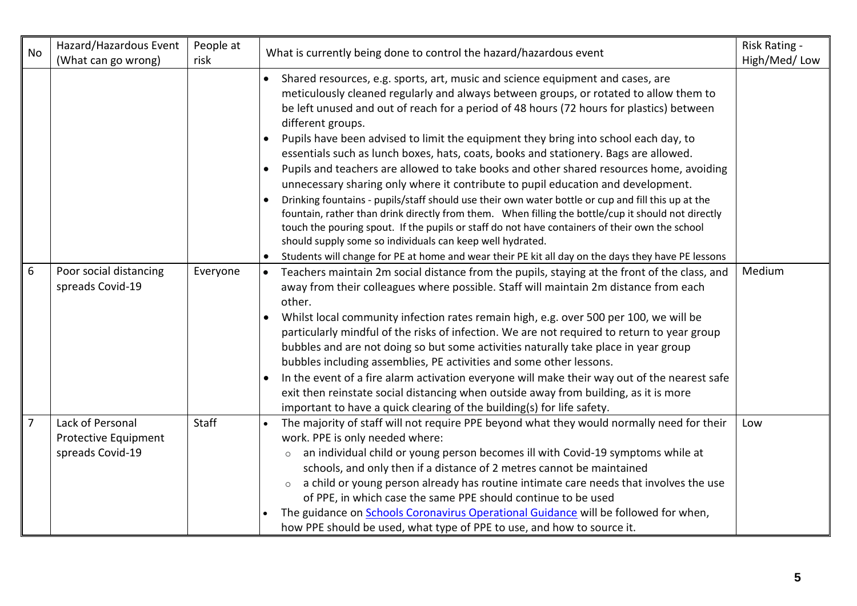| No             | Hazard/Hazardous Event<br>(What can go wrong)                | People at<br>risk | What is currently being done to control the hazard/hazardous event                                                                                                                                                                                                                                                                                                                                                                                                                                                                                                                                                                                                                                                                                                                                                                                                                                                                                                                                                                                                                                                                                                             | Risk Rating -<br>High/Med/Low |
|----------------|--------------------------------------------------------------|-------------------|--------------------------------------------------------------------------------------------------------------------------------------------------------------------------------------------------------------------------------------------------------------------------------------------------------------------------------------------------------------------------------------------------------------------------------------------------------------------------------------------------------------------------------------------------------------------------------------------------------------------------------------------------------------------------------------------------------------------------------------------------------------------------------------------------------------------------------------------------------------------------------------------------------------------------------------------------------------------------------------------------------------------------------------------------------------------------------------------------------------------------------------------------------------------------------|-------------------------------|
|                |                                                              |                   | Shared resources, e.g. sports, art, music and science equipment and cases, are<br>$\bullet$<br>meticulously cleaned regularly and always between groups, or rotated to allow them to<br>be left unused and out of reach for a period of 48 hours (72 hours for plastics) between<br>different groups.<br>Pupils have been advised to limit the equipment they bring into school each day, to<br>$\bullet$<br>essentials such as lunch boxes, hats, coats, books and stationery. Bags are allowed.<br>Pupils and teachers are allowed to take books and other shared resources home, avoiding<br>unnecessary sharing only where it contribute to pupil education and development.<br>Drinking fountains - pupils/staff should use their own water bottle or cup and fill this up at the<br>fountain, rather than drink directly from them. When filling the bottle/cup it should not directly<br>touch the pouring spout. If the pupils or staff do not have containers of their own the school<br>should supply some so individuals can keep well hydrated.<br>Students will change for PE at home and wear their PE kit all day on the days they have PE lessons<br>$\bullet$ |                               |
| 6              | Poor social distancing<br>spreads Covid-19                   | Everyone          | Teachers maintain 2m social distance from the pupils, staying at the front of the class, and<br>$\bullet$<br>away from their colleagues where possible. Staff will maintain 2m distance from each<br>other.<br>Whilst local community infection rates remain high, e.g. over 500 per 100, we will be<br>$\bullet$<br>particularly mindful of the risks of infection. We are not required to return to year group<br>bubbles and are not doing so but some activities naturally take place in year group<br>bubbles including assemblies, PE activities and some other lessons.<br>In the event of a fire alarm activation everyone will make their way out of the nearest safe<br>$\bullet$<br>exit then reinstate social distancing when outside away from building, as it is more<br>important to have a quick clearing of the building(s) for life safety.                                                                                                                                                                                                                                                                                                                  | Medium                        |
| $\overline{7}$ | Lack of Personal<br>Protective Equipment<br>spreads Covid-19 | Staff             | The majority of staff will not require PPE beyond what they would normally need for their<br>work. PPE is only needed where:<br>an individual child or young person becomes ill with Covid-19 symptoms while at<br>$\circ$<br>schools, and only then if a distance of 2 metres cannot be maintained<br>a child or young person already has routine intimate care needs that involves the use<br>$\circ$<br>of PPE, in which case the same PPE should continue to be used<br>The guidance on Schools Coronavirus Operational Guidance will be followed for when,<br>how PPE should be used, what type of PPE to use, and how to source it.                                                                                                                                                                                                                                                                                                                                                                                                                                                                                                                                      | Low                           |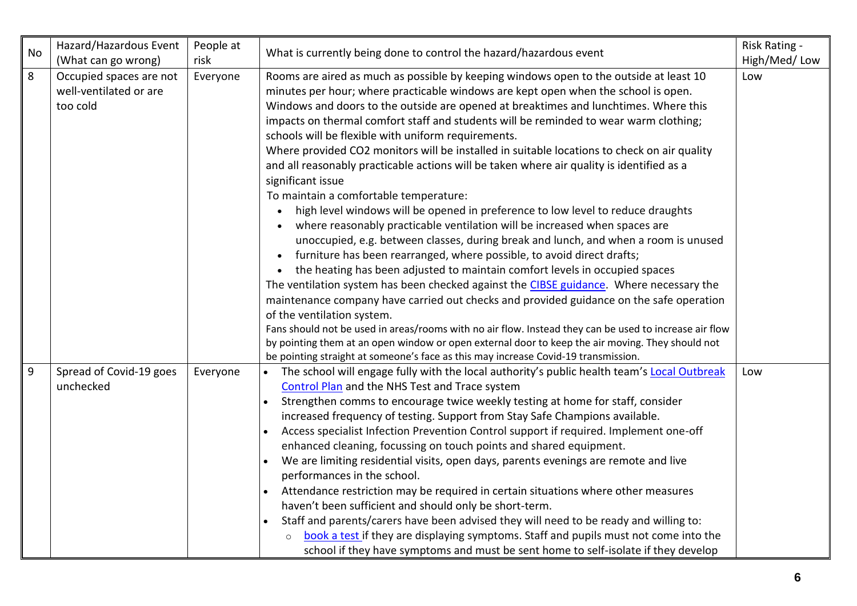| No    | Hazard/Hazardous Event<br>(What can go wrong)                 | People at<br>risk | What is currently being done to control the hazard/hazardous event                                                                                                                                                                                                                                                                                                                                                                                                                                                                                                                                                                                                                                                                                                                                                                                                                                                                                                                                                                                                                                                                                                                                                                                                                                                                                                                                                                                                                                                                                                                                                       | Risk Rating -<br>High/Med/Low |
|-------|---------------------------------------------------------------|-------------------|--------------------------------------------------------------------------------------------------------------------------------------------------------------------------------------------------------------------------------------------------------------------------------------------------------------------------------------------------------------------------------------------------------------------------------------------------------------------------------------------------------------------------------------------------------------------------------------------------------------------------------------------------------------------------------------------------------------------------------------------------------------------------------------------------------------------------------------------------------------------------------------------------------------------------------------------------------------------------------------------------------------------------------------------------------------------------------------------------------------------------------------------------------------------------------------------------------------------------------------------------------------------------------------------------------------------------------------------------------------------------------------------------------------------------------------------------------------------------------------------------------------------------------------------------------------------------------------------------------------------------|-------------------------------|
| 8     | Occupied spaces are not<br>well-ventilated or are<br>too cold | Everyone          | Rooms are aired as much as possible by keeping windows open to the outside at least 10<br>minutes per hour; where practicable windows are kept open when the school is open.<br>Windows and doors to the outside are opened at breaktimes and lunchtimes. Where this<br>impacts on thermal comfort staff and students will be reminded to wear warm clothing;<br>schools will be flexible with uniform requirements.<br>Where provided CO2 monitors will be installed in suitable locations to check on air quality<br>and all reasonably practicable actions will be taken where air quality is identified as a<br>significant issue<br>To maintain a comfortable temperature:<br>high level windows will be opened in preference to low level to reduce draughts<br>where reasonably practicable ventilation will be increased when spaces are<br>unoccupied, e.g. between classes, during break and lunch, and when a room is unused<br>furniture has been rearranged, where possible, to avoid direct drafts;<br>the heating has been adjusted to maintain comfort levels in occupied spaces<br>The ventilation system has been checked against the CIBSE guidance. Where necessary the<br>maintenance company have carried out checks and provided guidance on the safe operation<br>of the ventilation system.<br>Fans should not be used in areas/rooms with no air flow. Instead they can be used to increase air flow<br>by pointing them at an open window or open external door to keep the air moving. They should not<br>be pointing straight at someone's face as this may increase Covid-19 transmission. | Low                           |
| $9\,$ | Spread of Covid-19 goes<br>unchecked                          | Everyone          | The school will engage fully with the local authority's public health team's Local Outbreak<br><b>Control Plan and the NHS Test and Trace system</b><br>Strengthen comms to encourage twice weekly testing at home for staff, consider<br>$\bullet$<br>increased frequency of testing. Support from Stay Safe Champions available.<br>Access specialist Infection Prevention Control support if required. Implement one-off<br>$\bullet$<br>enhanced cleaning, focussing on touch points and shared equipment.<br>We are limiting residential visits, open days, parents evenings are remote and live<br>performances in the school.<br>Attendance restriction may be required in certain situations where other measures<br>haven't been sufficient and should only be short-term.<br>Staff and parents/carers have been advised they will need to be ready and willing to:<br>$\bullet$<br>book a test if they are displaying symptoms. Staff and pupils must not come into the<br>$\circ$<br>school if they have symptoms and must be sent home to self-isolate if they develop                                                                                                                                                                                                                                                                                                                                                                                                                                                                                                                                       | Low                           |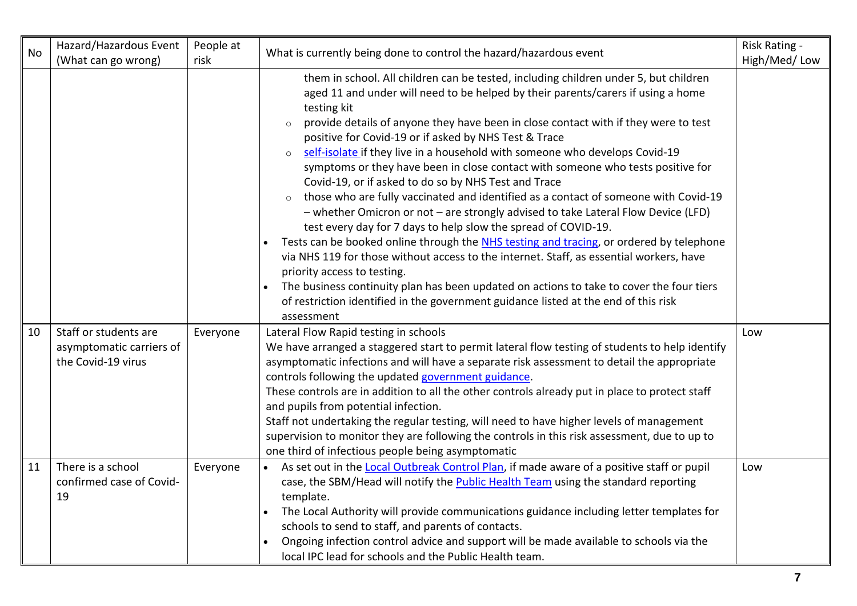| <b>No</b> | Hazard/Hazardous Event<br>(What can go wrong)       | People at<br>risk | What is currently being done to control the hazard/hazardous event                                                                                                                                                                                                                                                                                                                                                                                                                                                                                                                                                                                                                                                                                                                                                                                                                                                                                                                                                                                                                                                                                                                                                                                                                                                                                                                          | Risk Rating -<br>High/Med/Low |
|-----------|-----------------------------------------------------|-------------------|---------------------------------------------------------------------------------------------------------------------------------------------------------------------------------------------------------------------------------------------------------------------------------------------------------------------------------------------------------------------------------------------------------------------------------------------------------------------------------------------------------------------------------------------------------------------------------------------------------------------------------------------------------------------------------------------------------------------------------------------------------------------------------------------------------------------------------------------------------------------------------------------------------------------------------------------------------------------------------------------------------------------------------------------------------------------------------------------------------------------------------------------------------------------------------------------------------------------------------------------------------------------------------------------------------------------------------------------------------------------------------------------|-------------------------------|
| 10        | Staff or students are<br>asymptomatic carriers of   | Everyone          | them in school. All children can be tested, including children under 5, but children<br>aged 11 and under will need to be helped by their parents/carers if using a home<br>testing kit<br>provide details of anyone they have been in close contact with if they were to test<br>$\circ$<br>positive for Covid-19 or if asked by NHS Test & Trace<br>self-isolate if they live in a household with someone who develops Covid-19<br>symptoms or they have been in close contact with someone who tests positive for<br>Covid-19, or if asked to do so by NHS Test and Trace<br>those who are fully vaccinated and identified as a contact of someone with Covid-19<br>- whether Omicron or not - are strongly advised to take Lateral Flow Device (LFD)<br>test every day for 7 days to help slow the spread of COVID-19.<br>Tests can be booked online through the NHS testing and tracing, or ordered by telephone<br>via NHS 119 for those without access to the internet. Staff, as essential workers, have<br>priority access to testing.<br>The business continuity plan has been updated on actions to take to cover the four tiers<br>of restriction identified in the government guidance listed at the end of this risk<br>assessment<br>Lateral Flow Rapid testing in schools<br>We have arranged a staggered start to permit lateral flow testing of students to help identify | Low                           |
|           | the Covid-19 virus                                  |                   | asymptomatic infections and will have a separate risk assessment to detail the appropriate<br>controls following the updated government guidance.<br>These controls are in addition to all the other controls already put in place to protect staff<br>and pupils from potential infection.<br>Staff not undertaking the regular testing, will need to have higher levels of management<br>supervision to monitor they are following the controls in this risk assessment, due to up to<br>one third of infectious people being asymptomatic                                                                                                                                                                                                                                                                                                                                                                                                                                                                                                                                                                                                                                                                                                                                                                                                                                                |                               |
| 11        | There is a school<br>confirmed case of Covid-<br>19 | Everyone          | As set out in the Local Outbreak Control Plan, if made aware of a positive staff or pupil<br>case, the SBM/Head will notify the <b>Public Health Team</b> using the standard reporting<br>template.<br>The Local Authority will provide communications guidance including letter templates for<br>schools to send to staff, and parents of contacts.<br>Ongoing infection control advice and support will be made available to schools via the<br>local IPC lead for schools and the Public Health team.                                                                                                                                                                                                                                                                                                                                                                                                                                                                                                                                                                                                                                                                                                                                                                                                                                                                                    | Low                           |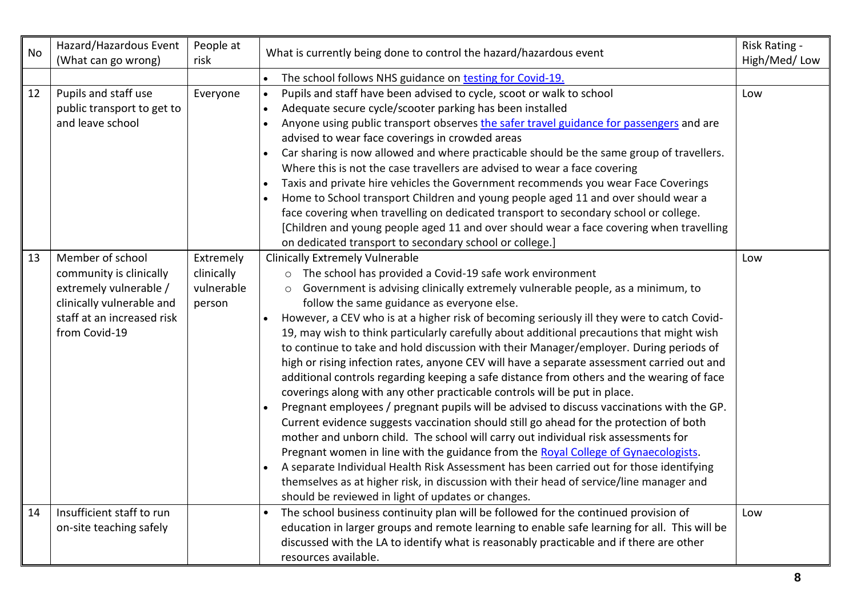| <b>No</b> | Hazard/Hazardous Event<br>(What can go wrong)                                                                                                     | People at<br>risk                               | What is currently being done to control the hazard/hazardous event                                                                                                                                                                                                                                                                                                                                                                                                                                                                                                                                                                                                                                                                                                                                                                                                                                                                                                                                                                                                                                                                                                                                                                                                                                                                                                                                                           | Risk Rating -<br>High/Med/Low |
|-----------|---------------------------------------------------------------------------------------------------------------------------------------------------|-------------------------------------------------|------------------------------------------------------------------------------------------------------------------------------------------------------------------------------------------------------------------------------------------------------------------------------------------------------------------------------------------------------------------------------------------------------------------------------------------------------------------------------------------------------------------------------------------------------------------------------------------------------------------------------------------------------------------------------------------------------------------------------------------------------------------------------------------------------------------------------------------------------------------------------------------------------------------------------------------------------------------------------------------------------------------------------------------------------------------------------------------------------------------------------------------------------------------------------------------------------------------------------------------------------------------------------------------------------------------------------------------------------------------------------------------------------------------------------|-------------------------------|
|           |                                                                                                                                                   |                                                 | The school follows NHS guidance on testing for Covid-19.<br>$\bullet$                                                                                                                                                                                                                                                                                                                                                                                                                                                                                                                                                                                                                                                                                                                                                                                                                                                                                                                                                                                                                                                                                                                                                                                                                                                                                                                                                        |                               |
| 12        | Pupils and staff use<br>public transport to get to<br>and leave school                                                                            | Everyone                                        | Pupils and staff have been advised to cycle, scoot or walk to school<br>$\bullet$<br>Adequate secure cycle/scooter parking has been installed<br>$\bullet$<br>Anyone using public transport observes the safer travel guidance for passengers and are<br>$\bullet$<br>advised to wear face coverings in crowded areas<br>Car sharing is now allowed and where practicable should be the same group of travellers.<br>Where this is not the case travellers are advised to wear a face covering<br>Taxis and private hire vehicles the Government recommends you wear Face Coverings<br>$\bullet$<br>Home to School transport Children and young people aged 11 and over should wear a<br>face covering when travelling on dedicated transport to secondary school or college.<br>[Children and young people aged 11 and over should wear a face covering when travelling<br>on dedicated transport to secondary school or college.]                                                                                                                                                                                                                                                                                                                                                                                                                                                                                          | Low                           |
| 13        | Member of school<br>community is clinically<br>extremely vulnerable /<br>clinically vulnerable and<br>staff at an increased risk<br>from Covid-19 | Extremely<br>clinically<br>vulnerable<br>person | <b>Clinically Extremely Vulnerable</b><br>o The school has provided a Covid-19 safe work environment<br>Government is advising clinically extremely vulnerable people, as a minimum, to<br>$\circ$<br>follow the same guidance as everyone else.<br>However, a CEV who is at a higher risk of becoming seriously ill they were to catch Covid-<br>19, may wish to think particularly carefully about additional precautions that might wish<br>to continue to take and hold discussion with their Manager/employer. During periods of<br>high or rising infection rates, anyone CEV will have a separate assessment carried out and<br>additional controls regarding keeping a safe distance from others and the wearing of face<br>coverings along with any other practicable controls will be put in place.<br>Pregnant employees / pregnant pupils will be advised to discuss vaccinations with the GP.<br>Current evidence suggests vaccination should still go ahead for the protection of both<br>mother and unborn child. The school will carry out individual risk assessments for<br>Pregnant women in line with the guidance from the Royal College of Gynaecologists.<br>A separate Individual Health Risk Assessment has been carried out for those identifying<br>themselves as at higher risk, in discussion with their head of service/line manager and<br>should be reviewed in light of updates or changes. | Low                           |
| 14        | Insufficient staff to run<br>on-site teaching safely                                                                                              |                                                 | The school business continuity plan will be followed for the continued provision of<br>education in larger groups and remote learning to enable safe learning for all. This will be<br>discussed with the LA to identify what is reasonably practicable and if there are other<br>resources available.                                                                                                                                                                                                                                                                                                                                                                                                                                                                                                                                                                                                                                                                                                                                                                                                                                                                                                                                                                                                                                                                                                                       | Low                           |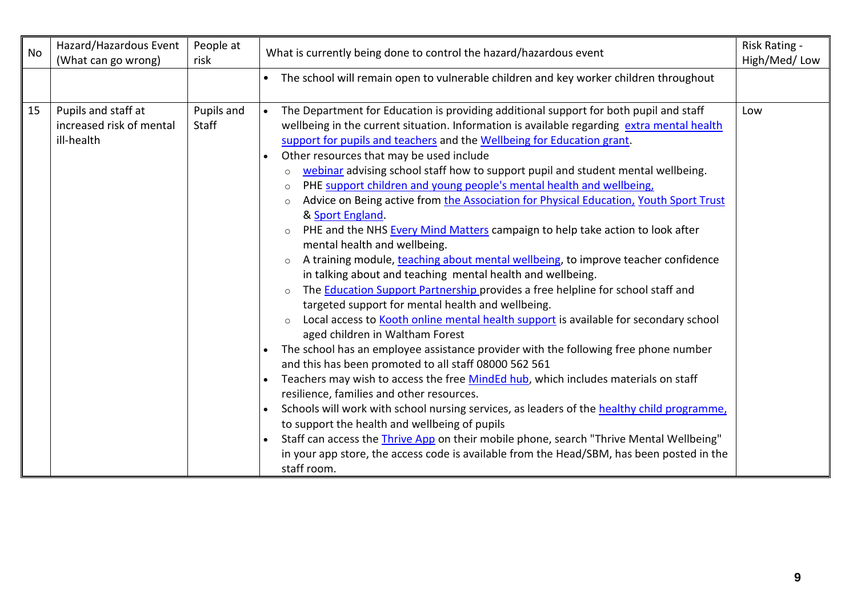| <b>No</b> | Hazard/Hazardous Event<br>(What can go wrong)                 | People at<br>risk   | What is currently being done to control the hazard/hazardous event                                                                                                                                                                                                                                                                                                                                                                                                                                                                                                                                                                                                                                                                                                                                                                                                                                                                                                                                                                                                                                                                                                                                                                                                                                                                                                                                                                                                                                                                                                                                                                                                                                                                                                                                                                                                         | Risk Rating -<br>High/Med/Low |
|-----------|---------------------------------------------------------------|---------------------|----------------------------------------------------------------------------------------------------------------------------------------------------------------------------------------------------------------------------------------------------------------------------------------------------------------------------------------------------------------------------------------------------------------------------------------------------------------------------------------------------------------------------------------------------------------------------------------------------------------------------------------------------------------------------------------------------------------------------------------------------------------------------------------------------------------------------------------------------------------------------------------------------------------------------------------------------------------------------------------------------------------------------------------------------------------------------------------------------------------------------------------------------------------------------------------------------------------------------------------------------------------------------------------------------------------------------------------------------------------------------------------------------------------------------------------------------------------------------------------------------------------------------------------------------------------------------------------------------------------------------------------------------------------------------------------------------------------------------------------------------------------------------------------------------------------------------------------------------------------------------|-------------------------------|
|           |                                                               |                     | The school will remain open to vulnerable children and key worker children throughout<br>$\bullet$                                                                                                                                                                                                                                                                                                                                                                                                                                                                                                                                                                                                                                                                                                                                                                                                                                                                                                                                                                                                                                                                                                                                                                                                                                                                                                                                                                                                                                                                                                                                                                                                                                                                                                                                                                         |                               |
| 15        | Pupils and staff at<br>increased risk of mental<br>ill-health | Pupils and<br>Staff | The Department for Education is providing additional support for both pupil and staff<br>$\bullet$<br>wellbeing in the current situation. Information is available regarding extra mental health<br>support for pupils and teachers and the Wellbeing for Education grant.<br>Other resources that may be used include<br>webinar advising school staff how to support pupil and student mental wellbeing.<br>$\circ$<br>PHE support children and young people's mental health and wellbeing,<br>$\circ$<br>Advice on Being active from the Association for Physical Education, Youth Sport Trust<br>$\circ$<br>& Sport England.<br>PHE and the NHS Every Mind Matters campaign to help take action to look after<br>$\circ$<br>mental health and wellbeing.<br>A training module, teaching about mental wellbeing, to improve teacher confidence<br>$\circ$<br>in talking about and teaching mental health and wellbeing.<br>The <b>Education Support Partnership</b> provides a free helpline for school staff and<br>$\circ$<br>targeted support for mental health and wellbeing.<br>Local access to Kooth online mental health support is available for secondary school<br>$\circ$<br>aged children in Waltham Forest<br>The school has an employee assistance provider with the following free phone number<br>and this has been promoted to all staff 08000 562 561<br>Teachers may wish to access the free MindEd hub, which includes materials on staff<br>resilience, families and other resources.<br>Schools will work with school nursing services, as leaders of the healthy child programme,<br>to support the health and wellbeing of pupils<br>Staff can access the <i>Thrive App</i> on their mobile phone, search "Thrive Mental Wellbeing"<br>in your app store, the access code is available from the Head/SBM, has been posted in the<br>staff room. | Low                           |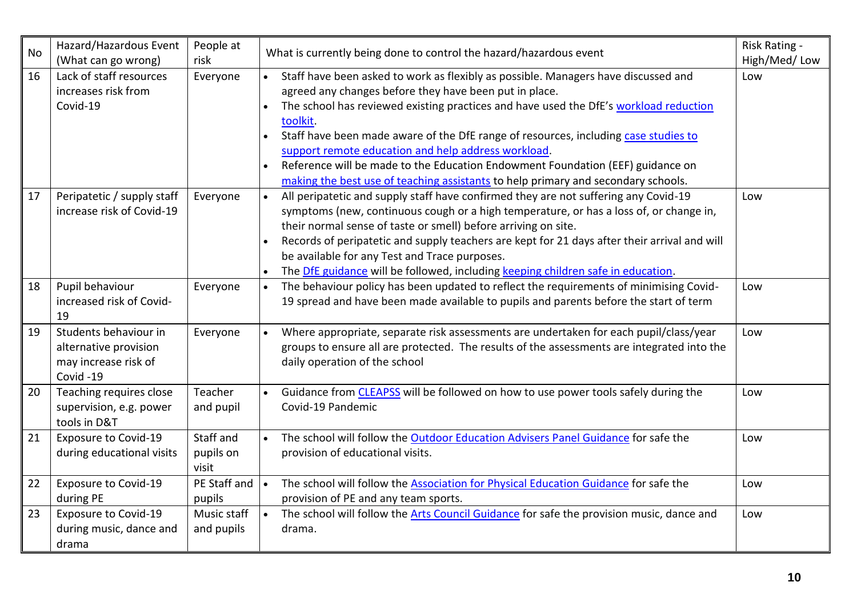| No | Hazard/Hazardous Event<br>(What can go wrong)                                      | People at<br>risk               |                        | Risk Rating -<br>What is currently being done to control the hazard/hazardous event<br>High/Med/Low                                                                                                                                                                                                                                                                                                                                                                                                                                                                    |     |
|----|------------------------------------------------------------------------------------|---------------------------------|------------------------|------------------------------------------------------------------------------------------------------------------------------------------------------------------------------------------------------------------------------------------------------------------------------------------------------------------------------------------------------------------------------------------------------------------------------------------------------------------------------------------------------------------------------------------------------------------------|-----|
| 16 | Lack of staff resources<br>increases risk from<br>Covid-19                         | Everyone                        | $\bullet$<br>$\bullet$ | Staff have been asked to work as flexibly as possible. Managers have discussed and<br>agreed any changes before they have been put in place.<br>The school has reviewed existing practices and have used the DfE's workload reduction<br>toolkit.<br>Staff have been made aware of the DfE range of resources, including case studies to<br>support remote education and help address workload.<br>Reference will be made to the Education Endowment Foundation (EEF) guidance on<br>making the best use of teaching assistants to help primary and secondary schools. | Low |
| 17 | Peripatetic / supply staff<br>increase risk of Covid-19                            | Everyone                        | $\bullet$<br>$\bullet$ | All peripatetic and supply staff have confirmed they are not suffering any Covid-19<br>symptoms (new, continuous cough or a high temperature, or has a loss of, or change in,<br>their normal sense of taste or smell) before arriving on site.<br>Records of peripatetic and supply teachers are kept for 21 days after their arrival and will<br>be available for any Test and Trace purposes.<br>The DfE guidance will be followed, including keeping children safe in education.                                                                                   | Low |
| 18 | Pupil behaviour<br>increased risk of Covid-<br>19                                  | Everyone                        | $\bullet$              | The behaviour policy has been updated to reflect the requirements of minimising Covid-<br>19 spread and have been made available to pupils and parents before the start of term                                                                                                                                                                                                                                                                                                                                                                                        | Low |
| 19 | Students behaviour in<br>alternative provision<br>may increase risk of<br>Covid-19 | Everyone                        |                        | Where appropriate, separate risk assessments are undertaken for each pupil/class/year<br>groups to ensure all are protected. The results of the assessments are integrated into the<br>daily operation of the school                                                                                                                                                                                                                                                                                                                                                   | Low |
| 20 | Teaching requires close<br>supervision, e.g. power<br>tools in D&T                 | Teacher<br>and pupil            | $\bullet$              | Guidance from CLEAPSS will be followed on how to use power tools safely during the<br>Covid-19 Pandemic                                                                                                                                                                                                                                                                                                                                                                                                                                                                | Low |
| 21 | <b>Exposure to Covid-19</b><br>during educational visits                           | Staff and<br>pupils on<br>visit | $\bullet$              | The school will follow the Outdoor Education Advisers Panel Guidance for safe the<br>provision of educational visits.                                                                                                                                                                                                                                                                                                                                                                                                                                                  | Low |
| 22 | <b>Exposure to Covid-19</b><br>during PE                                           | PE Staff and<br>pupils          |                        | The school will follow the Association for Physical Education Guidance for safe the<br>provision of PE and any team sports.                                                                                                                                                                                                                                                                                                                                                                                                                                            | Low |
| 23 | <b>Exposure to Covid-19</b><br>during music, dance and<br>drama                    | Music staff<br>and pupils       | $\bullet$              | The school will follow the Arts Council Guidance for safe the provision music, dance and<br>drama.                                                                                                                                                                                                                                                                                                                                                                                                                                                                     | Low |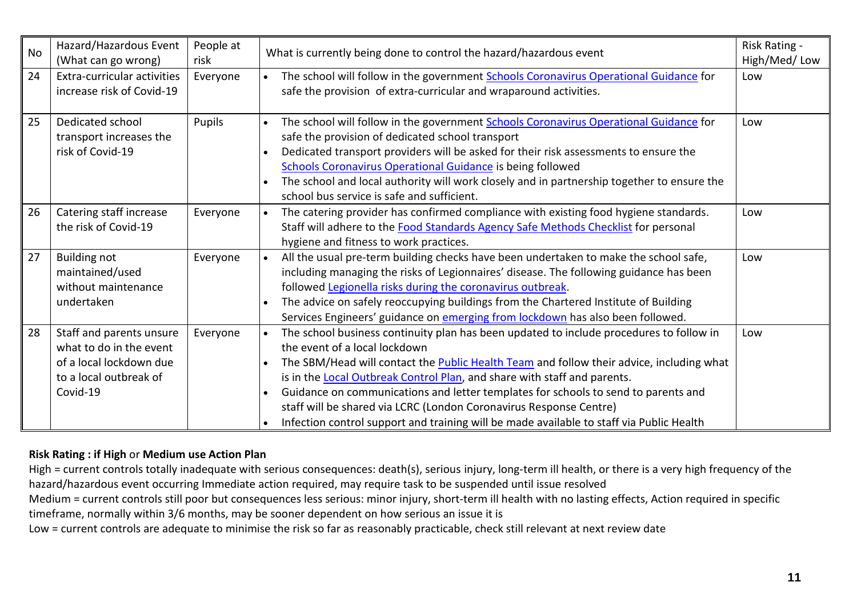| <b>No</b> | Hazard/Hazardous Event<br>(What can go wrong) | People at<br>risk                                                                                                                                                                                             | Risk Rating -<br>What is currently being done to control the hazard/hazardous event<br>High/Med/Low          |     |  |  |
|-----------|-----------------------------------------------|---------------------------------------------------------------------------------------------------------------------------------------------------------------------------------------------------------------|--------------------------------------------------------------------------------------------------------------|-----|--|--|
| 24        | Extra-curricular activities                   | Everyone                                                                                                                                                                                                      | The school will follow in the government Schools Coronavirus Operational Guidance for                        | Low |  |  |
|           | increase risk of Covid-19                     |                                                                                                                                                                                                               | safe the provision of extra-curricular and wraparound activities.                                            |     |  |  |
| 25        | Dedicated school                              | Pupils                                                                                                                                                                                                        | The school will follow in the government Schools Coronavirus Operational Guidance for                        | Low |  |  |
|           | transport increases the                       | safe the provision of dedicated school transport<br>Dedicated transport providers will be asked for their risk assessments to ensure the<br><b>Schools Coronavirus Operational Guidance is being followed</b> |                                                                                                              |     |  |  |
|           | risk of Covid-19                              |                                                                                                                                                                                                               |                                                                                                              |     |  |  |
|           |                                               |                                                                                                                                                                                                               |                                                                                                              |     |  |  |
|           |                                               | The school and local authority will work closely and in partnership together to ensure the<br>$\bullet$<br>school bus service is safe and sufficient.                                                         |                                                                                                              |     |  |  |
|           |                                               |                                                                                                                                                                                                               |                                                                                                              |     |  |  |
| 26        | Catering staff increase                       | Everyone                                                                                                                                                                                                      | The catering provider has confirmed compliance with existing food hygiene standards.                         | Low |  |  |
|           | the risk of Covid-19                          |                                                                                                                                                                                                               | Staff will adhere to the Food Standards Agency Safe Methods Checklist for personal                           |     |  |  |
|           |                                               |                                                                                                                                                                                                               | hygiene and fitness to work practices.                                                                       |     |  |  |
| 27        | <b>Building not</b>                           | Everyone                                                                                                                                                                                                      | All the usual pre-term building checks have been undertaken to make the school safe,                         | Low |  |  |
|           | maintained/used                               |                                                                                                                                                                                                               | including managing the risks of Legionnaires' disease. The following guidance has been                       |     |  |  |
|           | without maintenance                           |                                                                                                                                                                                                               | followed Legionella risks during the coronavirus outbreak.                                                   |     |  |  |
|           | undertaken                                    |                                                                                                                                                                                                               | The advice on safely reoccupying buildings from the Chartered Institute of Building                          |     |  |  |
|           |                                               |                                                                                                                                                                                                               | Services Engineers' guidance on emerging from lockdown has also been followed.                               |     |  |  |
| 28        | Staff and parents unsure                      | Everyone                                                                                                                                                                                                      | The school business continuity plan has been updated to include procedures to follow in                      | Low |  |  |
|           | what to do in the event                       |                                                                                                                                                                                                               | the event of a local lockdown                                                                                |     |  |  |
|           | of a local lockdown due                       |                                                                                                                                                                                                               | The SBM/Head will contact the <b>Public Health Team</b> and follow their advice, including what<br>$\bullet$ |     |  |  |
|           | to a local outbreak of                        |                                                                                                                                                                                                               | is in the Local Outbreak Control Plan, and share with staff and parents.                                     |     |  |  |
|           | Covid-19                                      |                                                                                                                                                                                                               | Guidance on communications and letter templates for schools to send to parents and                           |     |  |  |
|           |                                               |                                                                                                                                                                                                               | staff will be shared via LCRC (London Coronavirus Response Centre)                                           |     |  |  |
|           |                                               |                                                                                                                                                                                                               | Infection control support and training will be made available to staff via Public Health                     |     |  |  |

## **Risk Rating : if High** or **Medium use Action Plan**

High = current controls totally inadequate with serious consequences: death(s), serious injury, long-term ill health, or there is a very high frequency of the hazard/hazardous event occurring Immediate action required, may require task to be suspended until issue resolved

Medium = current controls still poor but consequences less serious: minor injury, short-term ill health with no lasting effects, Action required in specific timeframe, normally within 3/6 months, may be sooner dependent on how serious an issue it is

Low = current controls are adequate to minimise the risk so far as reasonably practicable, check still relevant at next review date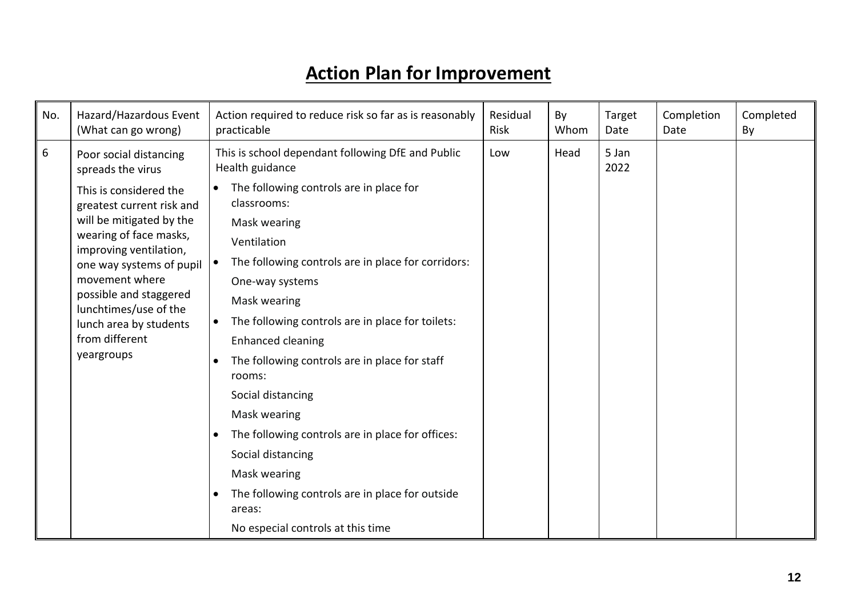## **Action Plan for Improvement**

| No. | Hazard/Hazardous Event<br>(What can go wrong)                                                                                                                                                                                                                                                                                                 | Action required to reduce risk so far as is reasonably<br>practicable                                                                                                                                                                                                                                               | Residual<br><b>Risk</b> | By<br>Whom | Target<br>Date | Completion<br>Date | Completed<br>By |
|-----|-----------------------------------------------------------------------------------------------------------------------------------------------------------------------------------------------------------------------------------------------------------------------------------------------------------------------------------------------|---------------------------------------------------------------------------------------------------------------------------------------------------------------------------------------------------------------------------------------------------------------------------------------------------------------------|-------------------------|------------|----------------|--------------------|-----------------|
| 6   | Poor social distancing<br>spreads the virus<br>This is considered the<br>greatest current risk and<br>will be mitigated by the<br>wearing of face masks,<br>improving ventilation,<br>one way systems of pupil<br>movement where<br>possible and staggered<br>lunchtimes/use of the<br>lunch area by students<br>from different<br>yeargroups | This is school dependant following DfE and Public<br>Health guidance<br>The following controls are in place for                                                                                                                                                                                                     | Low                     | Head       | 5 Jan<br>2022  |                    |                 |
|     |                                                                                                                                                                                                                                                                                                                                               | classrooms:<br>Mask wearing<br>Ventilation<br>The following controls are in place for corridors:<br>One-way systems<br>Mask wearing<br>The following controls are in place for toilets:<br><b>Enhanced cleaning</b><br>The following controls are in place for staff<br>rooms:<br>Social distancing<br>Mask wearing |                         |            |                |                    |                 |
|     |                                                                                                                                                                                                                                                                                                                                               | The following controls are in place for offices:<br>Social distancing<br>Mask wearing                                                                                                                                                                                                                               |                         |            |                |                    |                 |
|     |                                                                                                                                                                                                                                                                                                                                               | The following controls are in place for outside<br>areas:<br>No especial controls at this time                                                                                                                                                                                                                      |                         |            |                |                    |                 |